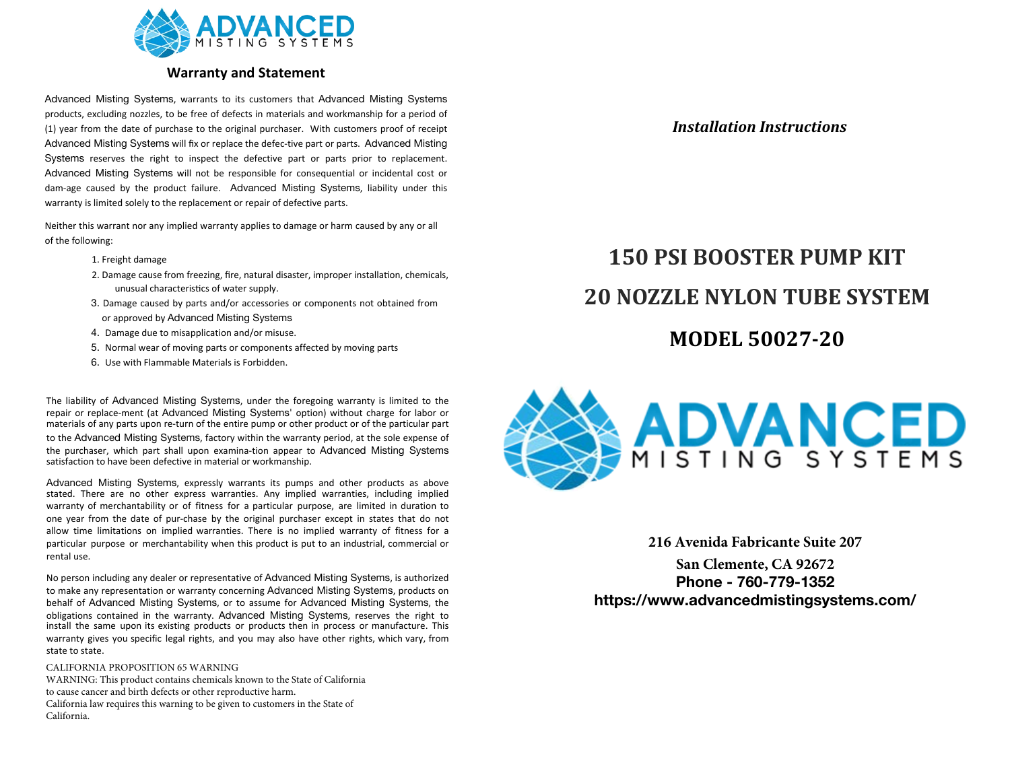

# **Warranty and Statement**

Advanced Misting Systems, warrants to its customers that Advanced Misting Systems products, excluding nozzles, to be free of defects in materials and workmanship for a period of (1) year from the date of purchase to the original purchaser. With customers proof of receipt Advanced Misting Systems will fix or replace the defec-tive part or parts. Advanced Misting Systems reserves the right to inspect the defective part or parts prior to replacement. Advanced Misting Systems will not be responsible for consequential or incidental cost or dam-age caused by the product failure. Advanced Misting Systems, liability under this warranty is limited solely to the replacement or repair of defective parts.

Neither this warrant nor any implied warranty applies to damage or harm caused by any or all of the following:

- 1. Freight damage
- 2. Damage cause from freezing, fire, natural disaster, improper installation, chemicals, unusual characteristics of water supply.
- 3. Damage caused by parts and/or accessories or components not obtained from or approved by Advanced Misting Systems
- 4. Damage due to misapplication and/or misuse.
- 5. Normal wear of moving parts or components affected by moving parts
- 6. Use with Flammable Materials is Forbidden.

The liability of Advanced Misting Systems, under the foregoing warranty is limited to the repair or replace-ment (at Advanced Misting Systems' option) without charge for labor or materials of any parts upon re-turn of the entire pump or other product or of the particular part to the Advanced Misting Systems, factory within the warranty period, at the sole expense of the purchaser, which part shall upon examina-tion appear to Advanced Misting Systems satisfaction to have been defective in material or workmanship.

Advanced Misting Systems, expressly warrants its pumps and other products as above stated. There are no other express warranties. Any implied warranties, including implied warranty of merchantability or of fitness for a particular purpose, are limited in duration to one year from the date of pur-chase by the original purchaser except in states that do not allow time limitations on implied warranties. There is no implied warranty of fitness for a particular purpose or merchantability when this product is put to an industrial, commercial or rental use.

No person including any dealer or representative of Advanced Misting Systems, is authorized to make any representation or warranty concerning Advanced Misting Systems, products on behalf of Advanced Misting Systems, or to assume for Advanced Misting Systems, the obligations contained in the warranty. Advanced Misting Systems, reserves the right to install the same upon its existing products or products then in process or manufacture. This warranty gives you specific legal rights, and you may also have other rights, which vary, from state to state.

### CALIFORNIA PROPOSITION 65 WARNING

WARNING: This product contains chemicals known to the State of California to cause cancer and birth defects or other reproductive harm. California law requires this warning to be given to customers in the State of California.

## *Installation Instructions*

# **MODEL 50027-20 150 PSI BOOSTER PUMP KIT 20 NOZZLE NYLON TUBE SYSTEM**



**216 Avenida Fabricante Suite 207**

**San Clemente, CA 92672 Phone - 760-779-1352 https://www.advancedmistingsystems.com/**